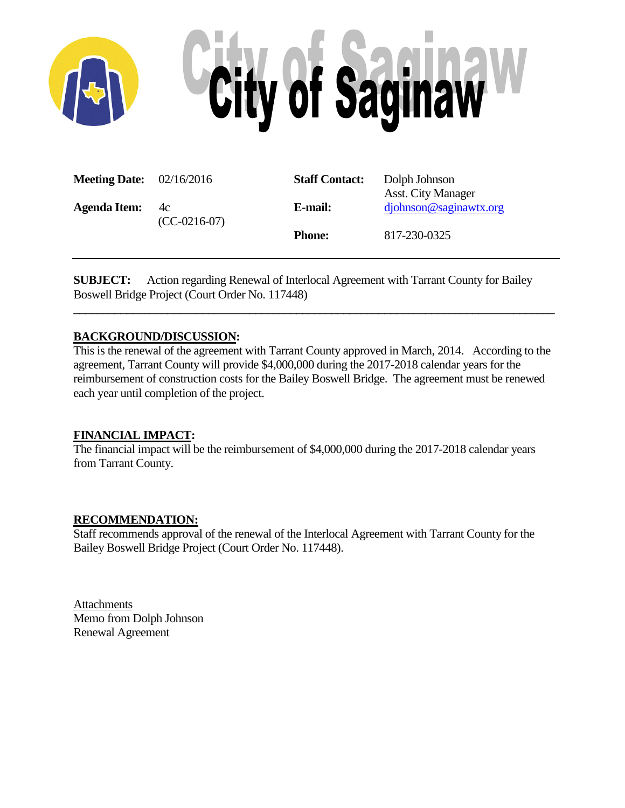

| <b>Meeting Date:</b> $02/16/2016$ |                      | <b>Staff Contact:</b> | Dolph Johnson<br><b>Asst. City Manager</b> |
|-----------------------------------|----------------------|-----------------------|--------------------------------------------|
| <b>Agenda Item:</b>               | 4c<br>$(CC-0216-07)$ | E-mail:               | $d\text{joh}$ nson@saginawtx.org           |
|                                   |                      | <b>Phone:</b>         | 817-230-0325                               |

**SUBJECT:** Action regarding Renewal of Interlocal Agreement with Tarrant County for Bailey Boswell Bridge Project (Court Order No. 117448)

# **BACKGROUND/DISCUSSION:**

This is the renewal of the agreement with Tarrant County approved in March, 2014. According to the agreement, Tarrant County will provide \$4,000,000 during the 2017-2018 calendar years for the reimbursement of construction costs for the Bailey Boswell Bridge. The agreement must be renewed each year until completion of the project.

**\_\_\_\_\_\_\_\_\_\_\_\_\_\_\_\_\_\_\_\_\_\_\_\_\_\_\_\_\_\_\_\_\_\_\_\_\_\_\_\_\_\_\_\_\_\_\_\_\_\_\_\_\_\_\_\_\_\_\_\_\_\_\_\_\_\_\_\_\_\_\_\_\_\_\_\_\_\_\_\_\_\_**

# **FINANCIAL IMPACT:**

The financial impact will be the reimbursement of \$4,000,000 during the 2017-2018 calendar years from Tarrant County.

#### **RECOMMENDATION:**

Staff recommends approval of the renewal of the Interlocal Agreement with Tarrant County for the Bailey Boswell Bridge Project (Court Order No. 117448).

**Attachments** Memo from Dolph Johnson Renewal Agreement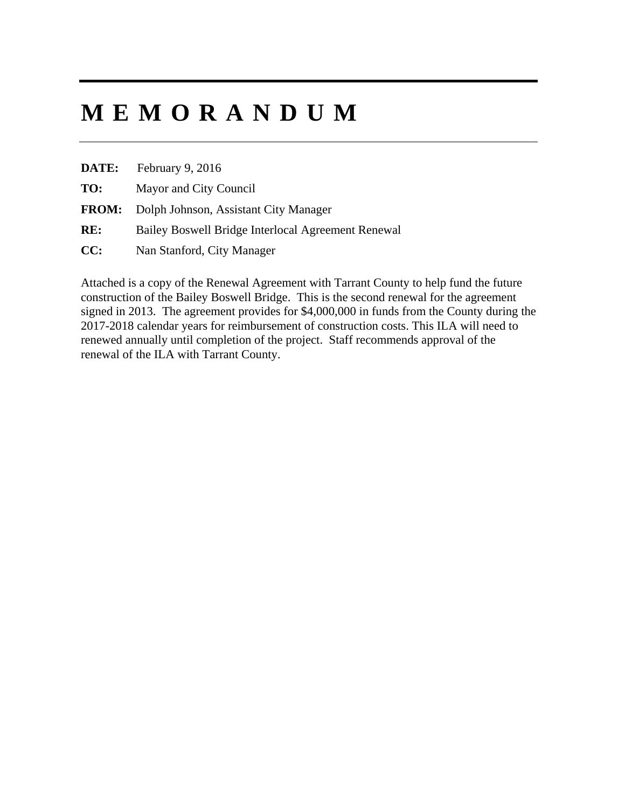# **MEMORANDUM**

| DATE: | February 9, 2016 |
|-------|------------------|
|-------|------------------|

**TO:** Mayor and City Council

- **FROM:** Dolph Johnson, Assistant City Manager
- **RE:** Bailey Boswell Bridge Interlocal Agreement Renewal
- **CC:** Nan Stanford, City Manager

Attached is a copy of the Renewal Agreement with Tarrant County to help fund the future construction of the Bailey Boswell Bridge. This is the second renewal for the agreement signed in 2013. The agreement provides for \$4,000,000 in funds from the County during the 2017-2018 calendar years for reimbursement of construction costs. This ILA will need to renewed annually until completion of the project. Staff recommends approval of the renewal of the ILA with Tarrant County.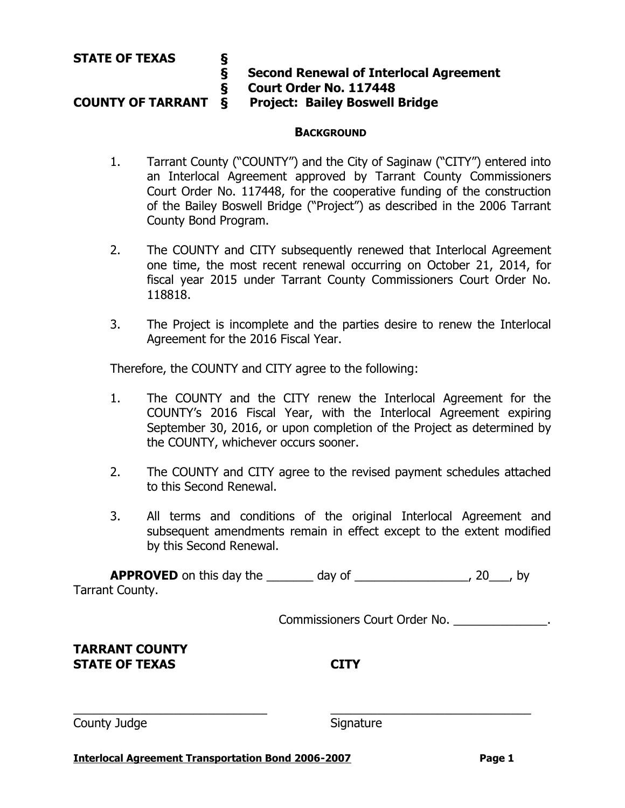# **§ Second Renewal of Interlocal Agreement E** Court Order No. 117448<br>COUNTY OF TARRANT & Project: Bailey Boswell

**Project: Bailey Boswell Bridge** 

# **BACKGROUND**

- 1. Tarrant County ("COUNTY") and the City of Saginaw ("CITY") entered into an Interlocal Agreement approved by Tarrant County Commissioners Court Order No. 117448, for the cooperative funding of the construction of the Bailey Boswell Bridge ("Project") as described in the 2006 Tarrant County Bond Program.
- 2. The COUNTY and CITY subsequently renewed that Interlocal Agreement one time, the most recent renewal occurring on October 21, 2014, for fiscal year 2015 under Tarrant County Commissioners Court Order No. 118818.
- 3. The Project is incomplete and the parties desire to renew the Interlocal Agreement for the 2016 Fiscal Year.

Therefore, the COUNTY and CITY agree to the following:

- 1. The COUNTY and the CITY renew the Interlocal Agreement for the COUNTY's 2016 Fiscal Year, with the Interlocal Agreement expiring September 30, 2016, or upon completion of the Project as determined by the COUNTY, whichever occurs sooner.
- 2. The COUNTY and CITY agree to the revised payment schedules attached to this Second Renewal.
- 3. All terms and conditions of the original Interlocal Agreement and subsequent amendments remain in effect except to the extent modified by this Second Renewal.

**APPROVED** on this day the \_\_\_\_\_\_\_ day of \_\_\_\_\_\_\_\_\_\_\_\_\_\_\_\_\_, 20\_\_\_, by Tarrant County.

 $\overline{\phantom{a}}$  , and the contribution of the contribution of the contribution of the contribution of the contribution of the contribution of the contribution of the contribution of the contribution of the contribution of the

Commissioners Court Order No. \_\_\_\_\_\_\_\_\_\_\_\_\_\_.

**TARRANT COUNTY STATE OF TEXAS CITY**

County Judge **Signature** Signature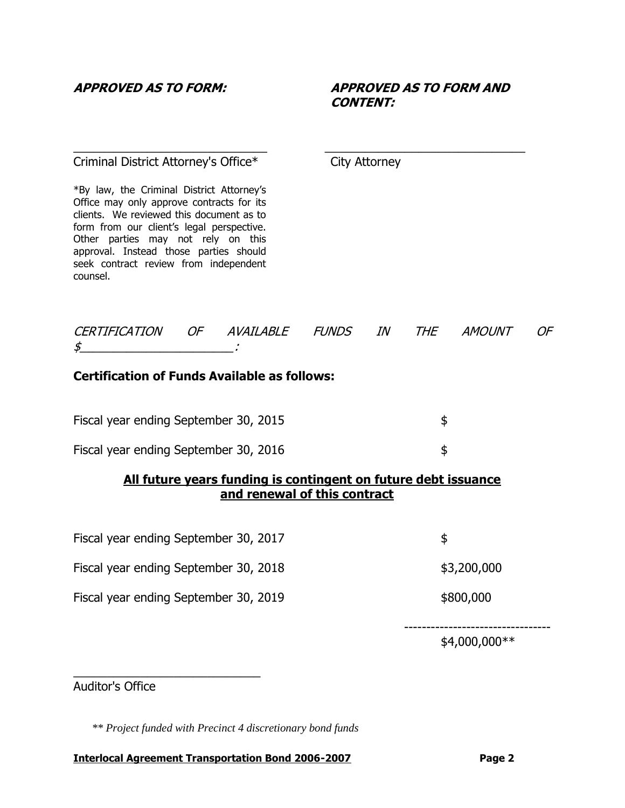# **APPROVED AS TO FORM: APPROVED AS TO FORM AND CONTENT:**

#### Criminal District Attorney's Office\* City Attorney

\*By law, the Criminal District Attorney's Office may only approve contracts for its clients. We reviewed this document as to form from our client's legal perspective. Other parties may not rely on this approval. Instead those parties should seek contract review from independent counsel.

| <b>CERTIFICATION</b> | <i>OF AVAILABLE</i> | <b>FUNDS</b> | IN | <b>THE</b> | <b>AMOUNT</b> |  |
|----------------------|---------------------|--------------|----|------------|---------------|--|
| \$                   |                     |              |    |            |               |  |

 $\overline{\phantom{a}}$  , and the contribution of the contribution of the contribution of the contribution of the contribution of the contribution of the contribution of the contribution of the contribution of the contribution of the

# **Certification of Funds Available as follows:**

| Fiscal year ending September 30, 2015 |  |
|---------------------------------------|--|
| Fiscal year ending September 30, 2016 |  |

# **All future years funding is contingent on future debt issuance and renewal of this contract**

| Fiscal year ending September 30, 2017 |  |
|---------------------------------------|--|
|                                       |  |

- Fiscal year ending September 30, 2018 **\$3,200,000**
- Fiscal year ending September 30, 2019 **\$800,000**

\_\_\_\_\_\_\_\_\_\_\_\_\_\_\_\_\_\_\_\_\_\_\_\_\_\_\_\_

--------------------------------- \$4,000,000\*\*

Auditor's Office

*\*\* Project funded with Precinct 4 discretionary bond funds*

#### **Interlocal Agreement Transportation Bond 2006-2007 Page 2**